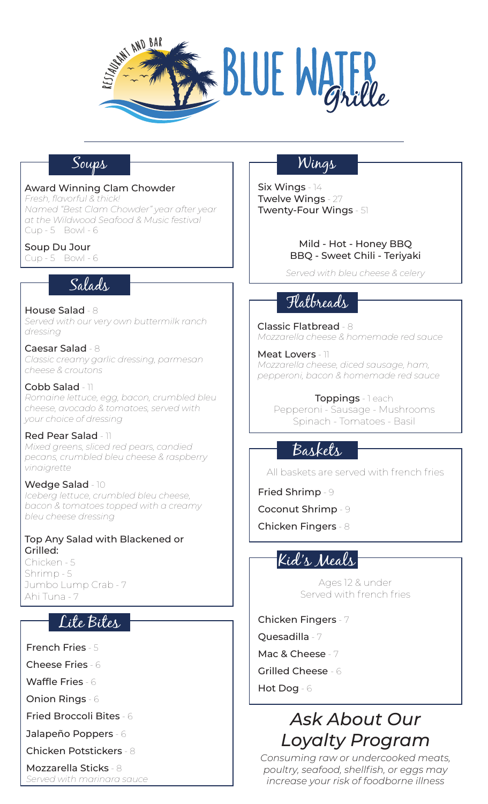

## Soups

### Award Winning Clam Chowder

*Fresh, flavorful & thick! Named "Best Clam Chowder" year after year at the Wildwood Seafood & Music festival* Cup - 5 Bowl - 6

Soup Du Jour

Cup - 5 Bowl - 6

## Salads

House Salad - 8 *Served with our very own buttermilk ranch dressing*

Caesar Salad - 8 *Classic creamy garlic dressing, parmesan cheese & croutons*

Cobb Salad - 11 *Romaine lettuce, egg, bacon, crumbled bleu cheese, avocado & tomatoes, served with your choice of dressing*

#### Red Pear Salad - 11 *Mixed greens, sliced red pears, candied pecans, crumbled bleu cheese & raspberry vinaigrette*

Wedge Salad - 10

*Iceberg lettuce, crumbled bleu cheese, bacon & tomatoes topped with a creamy bleu cheese dressing*

#### Top Any Salad with Blackened or Grilled:

Chicken - 5 Shrimp - 5 Jumbo Lump Crab - 7 Ahi Tuna - 7

# Lite Bites

French Fries - 5

Cheese Fries - 6

Waffle Fries - 6

Onion Rings - 6

Fried Broccoli Bites - 6

Jalapeño Poppers - 6

Chicken Potstickers - 8

Mozzarella Sticks - 8 *Served with marinara sauce*

# Wings

Six Wings - 14 Twelve Wings - 27 Twenty-Four Wings - 51

> Mild - Hot - Honey BBQ BBQ - Sweet Chili - Teriyaki

*Served with bleu cheese & celery*

# Flatbreads

Classic Flatbread - 8 *Mozzarella cheese & homemade red sauce*

Meat Lovers - 11 *Mozzarella cheese, diced sausage, ham, pepperoni, bacon & homemade red sauce*

Toppings - 1 each Pepperoni - Sausage - Mushrooms Spinach - Tomatoes - Basil

# Baskets

All baskets are served with french fries

Fried Shrimp - 9

Coconut Shrimp - 9

Chicken Fingers - 8

# Kid's Meals

Ages 12 & under Served with french fries

Chicken Fingers - 7

Quesadilla - 7

Mac & Cheese - 7

Grilled Cheese - 6

Hot Dog - 6

# *Ask About Our Loyalty Program*

*Consuming raw or undercooked meats, poultry, seafood, shellfish, or eggs may increase your risk of foodborne illness*